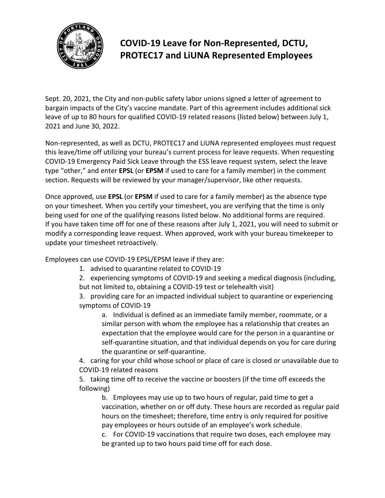

## **COVID-19 Leave for Non-Represented, DCTU, PROTEC17 and LiUNA Represented Employees**

Sept. 20, 2021, the City and non-public safety labor unions signed a letter of agreement to bargain impacts of the City's vaccine mandate. Part of this agreement includes additional sick leave of up to 80 hours for qualified COVID-19 related reasons (listed below) between July 1, 2021 and June 30, 2022.

Non-represented, as well as DCTU, PROTEC17 and LiUNA represented employees must request this leave/time off utilizing your bureau's current process for leave requests. When requesting COVID-19 Emergency Paid Sick Leave through the ESS leave request system, select the leave type "other," and enter **EPSL** (or **EPSM** if used to care for a family member) in the comment section. Requests will be reviewed by your manager/supervisor, like other requests.

Once approved, use **EPSL** (or **EPSM** if used to care for a family member) as the absence type on your timesheet. When you certify your timesheet, you are verifying that the time is only being used for one of the qualifying reasons listed below. No additional forms are required. If you have taken time off for one of these reasons after July 1, 2021, you will need to submit or modify a corresponding leave request. When approved, work with your bureau timekeeper to update your timesheet retroactively.

Employees can use COVID-19 EPSL/EPSM leave if they are:

- 1. advised to quarantine related to COVID-19
- 2. experiencing symptoms of COVID-19 and seeking a medical diagnosis (including, but not limited to, obtaining a COVID-19 test or telehealth visit)

3. providing care for an impacted individual subject to quarantine or experiencing symptoms of COVID-19

a. Individual is defined as an immediate family member, roommate, or a similar person with whom the employee has a relationship that creates an expectation that the employee would care for the person in a quarantine or self-quarantine situation, and that individual depends on you for care during the quarantine or self-quarantine.

4. caring for your child whose school or place of care is closed or unavailable due to COVID-19 related reasons

5. taking time off to receive the vaccine or boosters (if the time off exceeds the following)

b. Employees may use up to two hours of regular, paid time to get a vaccination, whether on or off duty. These hours are recorded as regular paid hours on the timesheet; therefore, time entry is only required for positive pay employees or hours outside of an employee's work schedule.

c. For COVID-19 vaccinations that require two doses, each employee may be granted up to two hours paid time off for each dose.